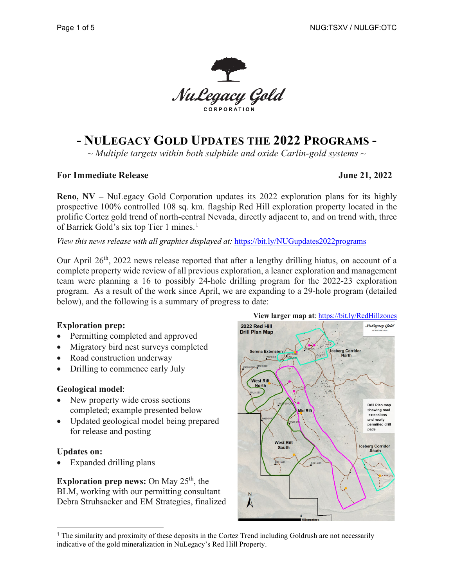

# **- NULEGACY GOLD UPDATES THE 2022 PROGRAMS -**

*~ Multiple targets within both sulphide and oxide Carlin-gold systems ~* 

#### **For Immediate Release** June 21, 2022

**Reno, NV –** NuLegacy Gold Corporation updates its 2022 exploration plans for its highly prospective 100% controlled 108 sq. km. flagship Red Hill exploration property located in the prolific Cortez gold trend of north-central Nevada, directly adjacent to, and on trend with, three of Barrick Gold's six top Tier [1](#page-0-0) mines.<sup>1</sup>

*View this news release with all graphics displayed at:* <https://bit.ly/NUGupdates2022programs>

Our April 26<sup>th</sup>, 2022 news release reported that after a lengthy drilling hiatus, on account of a complete property wide review of all previous exploration, a leaner exploration and management team were planning a 16 to possibly 24-hole drilling program for the 2022-23 exploration program. As a result of the work since April, we are expanding to a 29-hole program (detailed below), and the following is a summary of progress to date:

### **Exploration prep:**

- Permitting completed and approved
- Migratory bird nest surveys completed
- Road construction underway
- Drilling to commence early July

### **Geological model**:

- New property wide cross sections completed; example presented below
- Updated geological model being prepared for release and posting

### **Updates on:**

Expanded drilling plans

**Exploration prep news:** On May  $25<sup>th</sup>$ , the BLM, working with our permitting consultant Debra Struhsacker and EM Strategies, finalized



<span id="page-0-0"></span><sup>1</sup> The similarity and proximity of these deposits in the Cortez Trend including Goldrush are not necessarily indicative of the gold mineralization in NuLegacy's Red Hill Property.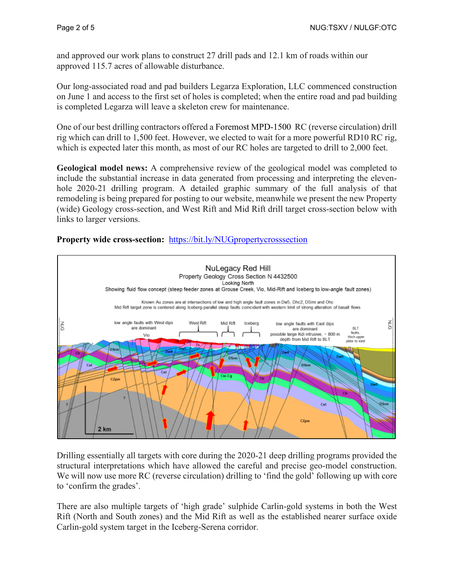and approved our work plans to construct 27 drill pads and 12.1 km of roads within our approved 115.7 acres of allowable disturbance.

Our long-associated road and pad builders Legarza Exploration, LLC commenced construction on June 1 and access to the first set of holes is completed; when the entire road and pad building is completed Legarza will leave a skeleton crew for maintenance.

One of our best drilling contractors offered a Foremost MPD-1500 RC (reverse circulation) drill rig which can drill to 1,500 feet. However, we elected to wait for a more powerful RD10 RC rig, which is expected later this month, as most of our RC holes are targeted to drill to 2,000 feet.

**Geological model news:** A comprehensive review of the geological model was completed to include the substantial increase in data generated from processing and interpreting the elevenhole 2020-21 drilling program. A detailed graphic summary of the full analysis of that remodeling is being prepared for posting to our website, meanwhile we present the new Property (wide) Geology cross-section, and West Rift and Mid Rift drill target cross-section below with links to larger versions.

## **Property wide cross-section:** <https://bit.ly/NUGpropertycrosssection>



Drilling essentially all targets with core during the 2020-21 deep drilling programs provided the structural interpretations which have allowed the careful and precise geo-model construction. We will now use more RC (reverse circulation) drilling to 'find the gold' following up with core to 'confirm the grades'.

There are also multiple targets of 'high grade' sulphide Carlin-gold systems in both the West Rift (North and South zones) and the Mid Rift as well as the established nearer surface oxide Carlin-gold system target in the Iceberg-Serena corridor.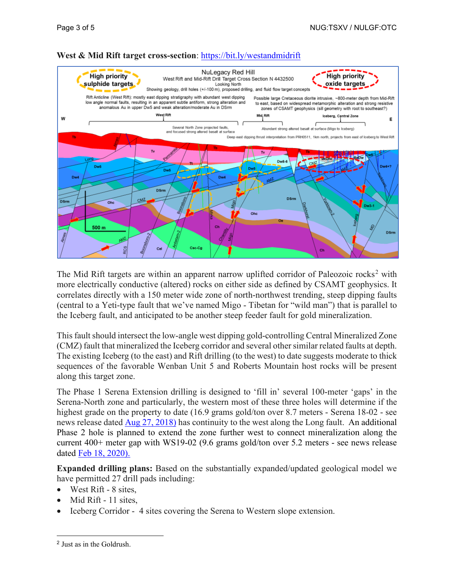

# **West & Mid Rift target cross-section**:<https://bit.ly/westandmidrift>

The Mid Rift targets are within an apparent narrow uplifted corridor of Paleozoic rocks<sup>[2](#page-2-0)</sup> with more electrically conductive (altered) rocks on either side as defined by CSAMT geophysics. It correlates directly with a 150 meter wide zone of north-northwest trending, steep dipping faults (central to a Yeti-type fault that we've named Migo - Tibetan for "wild man") that is parallel to the Iceberg fault, and anticipated to be another steep feeder fault for gold mineralization.

This fault should intersect the low-angle west dipping gold-controlling Central Mineralized Zone (CMZ) fault that mineralized the Iceberg corridor and several other similar related faults at depth. The existing Iceberg (to the east) and Rift drilling (to the west) to date suggests moderate to thick sequences of the favorable Wenban Unit 5 and Roberts Mountain host rocks will be present along this target zone.

The Phase 1 Serena Extension drilling is designed to 'fill in' several 100-meter 'gaps' in the Serena-North zone and particularly, the western most of these three holes will determine if the highest grade on the property to date (16.9 grams gold/ton over 8.7 meters - Serena 18-02 - see news release dated Aug [27, 2018\)](https://nulegacygold.com/news/news-releases/nulegacy-gold-provides-exploration-update-on-serena-zone/) has continuity to the west along the Long fault. An additional Phase 2 hole is planned to extend the zone further west to connect mineralization along the current 400+ meter gap with WS19-02 (9.6 grams gold/ton over 5.2 meters - see news release dated [Feb 18, 2020\).](https://nulegacygold.com/news/news-releases/nulegacy-gold-drills-9.6-grams-gold-over-5.1-meters/)

**Expanded drilling plans:** Based on the substantially expanded/updated geological model we have permitted 27 drill pads including:

- West Rift 8 sites,
- Mid Rift 11 sites,
- Iceberg Corridor 4 sites covering the Serena to Western slope extension.

<span id="page-2-0"></span><sup>2</sup> Just as in the Goldrush.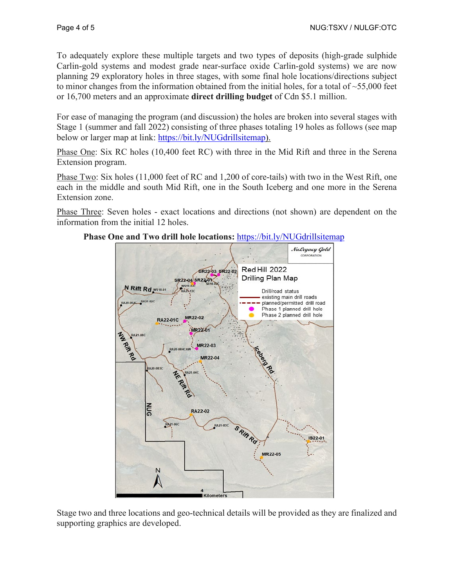To adequately explore these multiple targets and two types of deposits (high-grade sulphide Carlin-gold systems and modest grade near-surface oxide Carlin-gold systems) we are now planning 29 exploratory holes in three stages, with some final hole locations/directions subject to minor changes from the information obtained from the initial holes, for a total of  $\sim$ 55,000 feet or 16,700 meters and an approximate **direct drilling budget** of Cdn \$5.1 million.

For ease of managing the program (and discussion) the holes are broken into several stages with Stage 1 (summer and fall 2022) consisting of three phases totaling 19 holes as follows (see map below or larger map at link: [https://bit.ly/NUGdrillsitemap\)](https://bit.ly/NUGdrillsitemap).

Phase One: Six RC holes (10,400 feet RC) with three in the Mid Rift and three in the Serena Extension program.

Phase Two: Six holes (11,000 feet of RC and 1,200 of core-tails) with two in the West Rift, one each in the middle and south Mid Rift, one in the South Iceberg and one more in the Serena Extension zone.

Phase Three: Seven holes - exact locations and directions (not shown) are dependent on the information from the initial 12 holes.



#### **Phase One and Two drill hole locations:** <https://bit.ly/NUGdrillsitemap>

Stage two and three locations and geo-technical details will be provided as they are finalized and supporting graphics are developed.